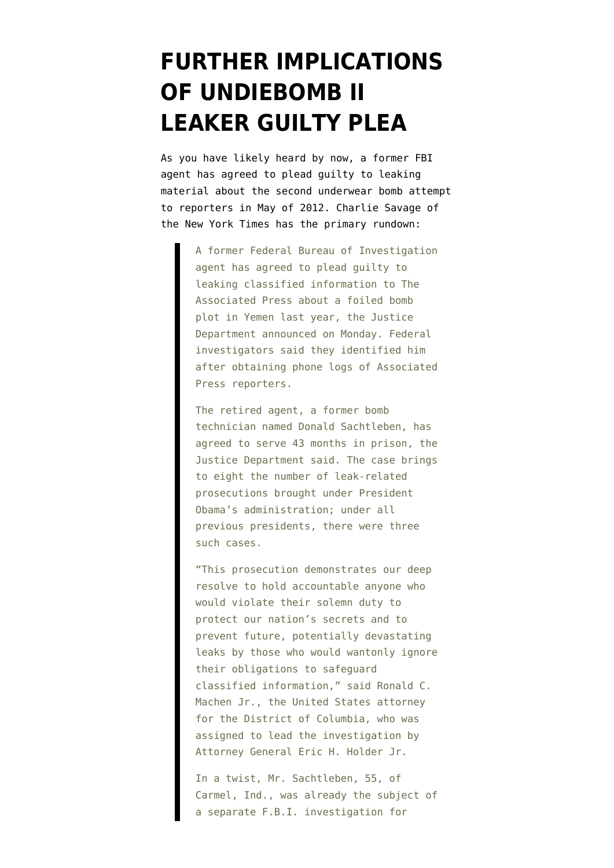## **[FURTHER IMPLICATIONS](https://www.emptywheel.net/2013/09/24/further-implications-undiebomb-ii-guilty-plea/) [OF UNDIEBOMB II](https://www.emptywheel.net/2013/09/24/further-implications-undiebomb-ii-guilty-plea/) [LEAKER GUILTY PLEA](https://www.emptywheel.net/2013/09/24/further-implications-undiebomb-ii-guilty-plea/)**

As you have likely heard by now, a former FBI agent has agreed to plead guilty to leaking material about the second underwear bomb attempt to reporters in May of 2012. [Charlie Savage of](http://www.nytimes.com/2013/09/24/us/fbi-ex-agent-pleads-guilty-in-leak-to-ap.html?hp&_r=0&pagewanted=print) [the New York Times](http://www.nytimes.com/2013/09/24/us/fbi-ex-agent-pleads-guilty-in-leak-to-ap.html?hp&_r=0&pagewanted=print) has the primary rundown:

> A former Federal Bureau of Investigation agent has agreed to plead guilty to leaking classified information to The Associated Press about a foiled bomb plot in Yemen last year, the Justice Department announced on Monday. Federal investigators said they identified him after obtaining phone logs of Associated Press reporters.

> The retired agent, a former bomb technician named Donald Sachtleben, has agreed to serve 43 months in prison, the Justice Department said. The case brings to eight the number of leak-related prosecutions brought under President Obama's administration; under all previous presidents, there were three such cases.

> "This prosecution demonstrates our deep resolve to hold accountable anyone who would violate their solemn duty to protect our nation's secrets and to prevent future, potentially devastating leaks by those who would wantonly ignore their obligations to safeguard classified information," said Ronald C. Machen Jr., the United States attorney for the District of Columbia, who was assigned to lead the investigation by Attorney General Eric H. Holder Jr.

> In a twist, Mr. Sachtleben, 55, of Carmel, Ind., was already the subject of a separate F.B.I. investigation for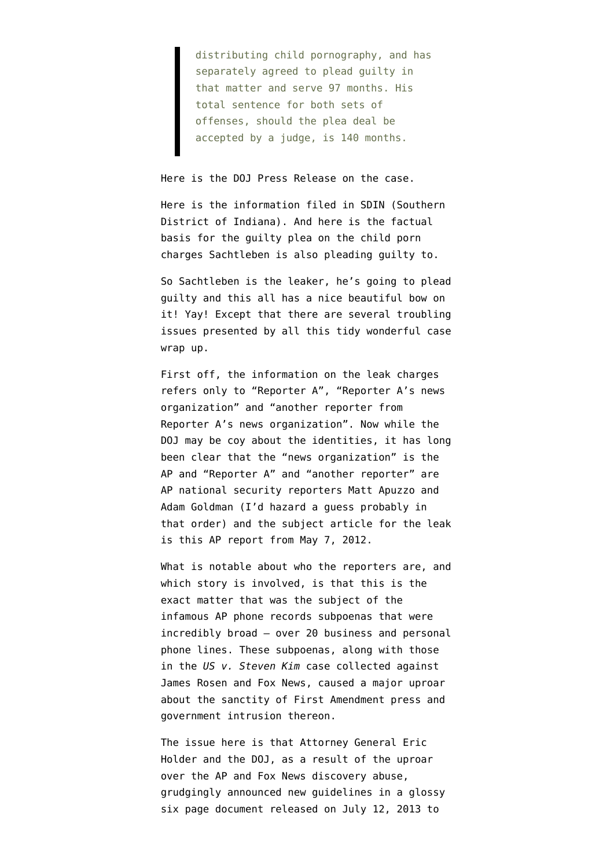distributing child pornography, and has separately agreed to plead guilty in that matter and serve 97 months. His total sentence for both sets of offenses, should the plea deal be accepted by a judge, is 140 months.

## Here is the [DOJ Press Release](http://www.justice.gov/opa/pr/2013/September/13-opa-1055.html) on the case.

Here is the [information filed in SDIN](http://www.justice.gov/iso/opa/resources/7642013923154527618802.pdf) (Southern District of Indiana). And here is the [factual](http://www.justice.gov/iso/opa/resources/930201392315477122777.pdf) [basis for the guilty plea](http://www.justice.gov/iso/opa/resources/930201392315477122777.pdf) on the child porn charges Sachtleben is also pleading guilty to.

So Sachtleben is the leaker, he's going to plead guilty and this all has a nice beautiful bow on it! Yay! Except that there are several troubling issues presented by all this tidy wonderful case wrap up.

First off, the information on the leak charges refers only to "Reporter A", "Reporter A's news organization" and "another reporter from Reporter A's news organization". Now while the DOJ may be coy about the identities, it has long been clear that the "news organization" is the AP and "Reporter A" and "another reporter" are AP national security reporters Matt Apuzzo and Adam Goldman (I'd hazard a guess probably in that order) and the subject article for the leak is this [AP report from May 7, 2012](http://news.yahoo.com/us-cia-thwarts-al-qaida-underwear-bomb-plot-200836835.html).

What is notable about who the reporters are, and which story is involved, is that this is the exact matter that was the subject of the [infamous AP phone records subpoenas](http://www.washingtonpost.com/blogs/erik-wemple/wp/2013/05/13/ap-government-subpoenaed-journalists-phone-records/http://www.washingtonpost.com/blogs/erik-wemple/wp/2013/05/13/ap-government-subpoenaed-journalists-phone-records/) that were incredibly broad – over 20 business and personal phone lines. These subpoenas, along with those in the *US v. Steven Kim* case collected against [James Rosen and Fox News,](http://www.politico.com/blogs/under-the-radar/2013/05/holder-walks-fine-line-on-prosecuting-journalists-164367.html) caused a major uproar about the sanctity of First Amendment press and government intrusion thereon.

The issue here is that Attorney General Eric Holder and the DOJ, as a result of the uproar over the AP and Fox News discovery abuse, grudgingly announced new guidelines in a [glossy](http://www.justice.gov/iso/opa/resources/2202013712162851796893.pdf) [six page document](http://www.justice.gov/iso/opa/resources/2202013712162851796893.pdf) released on July 12, 2013 to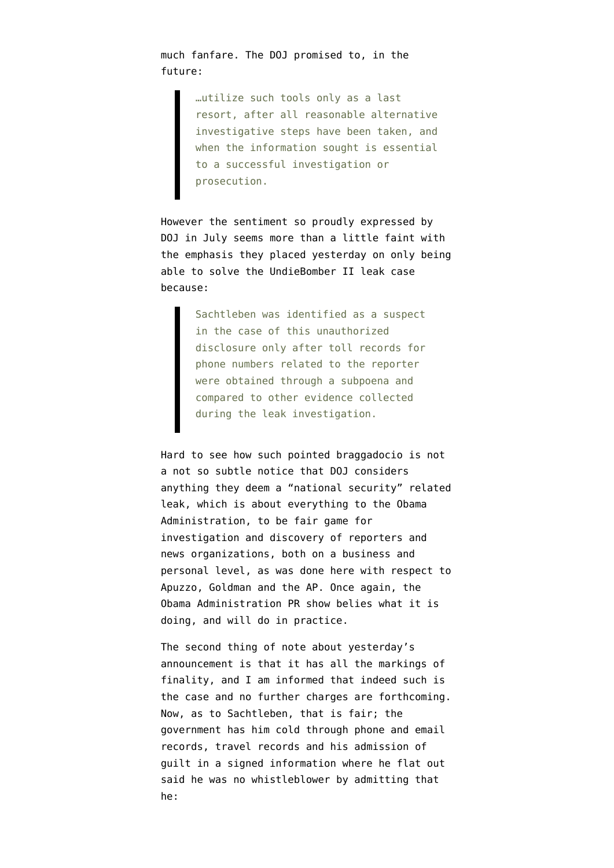much fanfare. The DOJ promised to, in the future:

> …utilize such tools only as a last resort, after all reasonable alternative investigative steps have been taken, and when the information sought is essential to a successful investigation or prosecution.

However the sentiment so proudly expressed by DOJ in July seems more than a little faint with the emphasis they placed yesterday on only being able to solve the UndieBomber II leak case because:

> Sachtleben was identified as a suspect in the case of this unauthorized disclosure only after toll records for phone numbers related to the reporter were obtained through a subpoena and compared to other evidence collected during the leak investigation.

Hard to see how such pointed braggadocio is not a not so subtle notice that DOJ considers anything they deem a "national security" related leak, which is about everything to the Obama Administration, to be fair game for investigation and discovery of reporters and news organizations, both on a business and personal level, as was done here with respect to Apuzzo, Goldman and the AP. Once again, the Obama Administration PR show belies what it is doing, and will do in practice.

The second thing of note about yesterday's announcement is that it has all the markings of finality, and I am informed that indeed such is the case and no further charges are forthcoming. Now, as to Sachtleben, that is fair; the government has him cold through phone and email records, travel records and his admission of guilt in a signed information where he flat out said he was no whistleblower by admitting that he: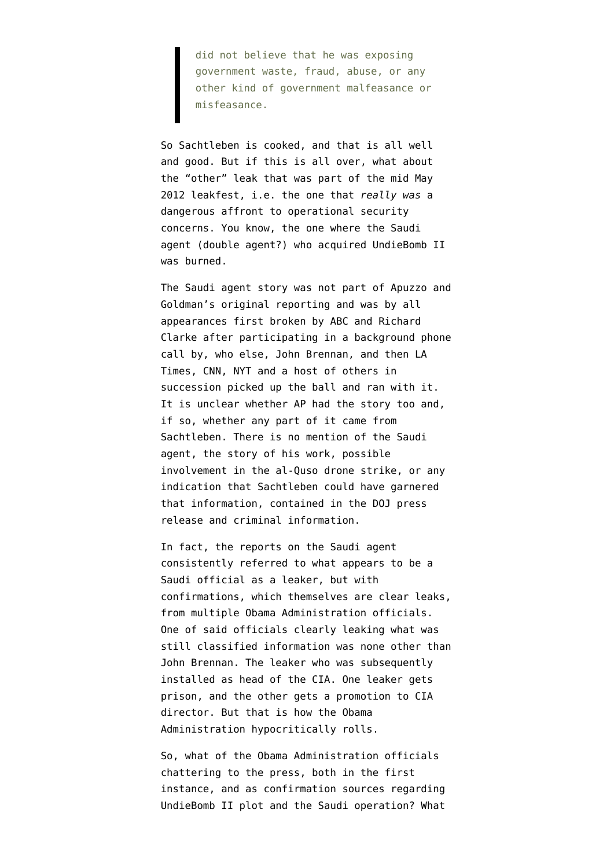did not believe that he was exposing government waste, fraud, abuse, or any other kind of government malfeasance or misfeasance.

So Sachtleben is cooked, and that is all well and good. But if this is all over, what about the "other" leak that was part of the mid May 2012 leakfest, i.e. the one that *really was* a dangerous affront to operational security concerns. You know, the one where the [Saudi](http://www.emptywheel.net/2012/05/09/did-the-saudis-or-the-yemenis-expose-the-involvement-of-a-double-agent/) [agent \(double agent?\) who acquired UndieBomb II](http://www.emptywheel.net/2012/05/09/did-the-saudis-or-the-yemenis-expose-the-involvement-of-a-double-agent/) [was burned.](http://www.emptywheel.net/2012/05/09/did-the-saudis-or-the-yemenis-expose-the-involvement-of-a-double-agent/)

The Saudi agent story was not part of Apuzzo and Goldman's original reporting and was by all appearances first broken by [ABC and Richard](http://thecable.foreignpolicy.com/posts/2013/05/14/the_leak_that_triggered_the_ap_phone_probe_scandal) [Clarke](http://thecable.foreignpolicy.com/posts/2013/05/14/the_leak_that_triggered_the_ap_phone_probe_scandal) after participating in a background phone call by, who else, John Brennan, and then LA Times, CNN, NYT and a host of others in succession picked up the ball and ran with it. It is unclear whether AP had the story too and, if so, whether any part of it came from Sachtleben. There is no mention of the Saudi agent, the story of his work, possible involvement in the al-Quso drone strike, or any indication that Sachtleben could have garnered that information, contained in the DOJ press release and criminal information.

In fact, the reports on the Saudi agent consistently referred to what appears to be a Saudi official as a leaker, but with confirmations, which themselves are clear leaks, from multiple Obama Administration officials. One of said officials clearly leaking what was still classified information was [none other than](http://www.reuters.com/article/2012/05/18/us-usa-security-plot-spin-idUSBRE84H0OZ20120518) [John Brennan](http://www.reuters.com/article/2012/05/18/us-usa-security-plot-spin-idUSBRE84H0OZ20120518). The leaker who was subsequently installed as head of the CIA. One leaker gets prison, and the other gets a promotion to CIA director. But that is how the Obama Administration hypocritically rolls.

So, what of the Obama Administration officials chattering to the press, both in the first instance, and as confirmation sources regarding UndieBomb II plot and the Saudi operation? What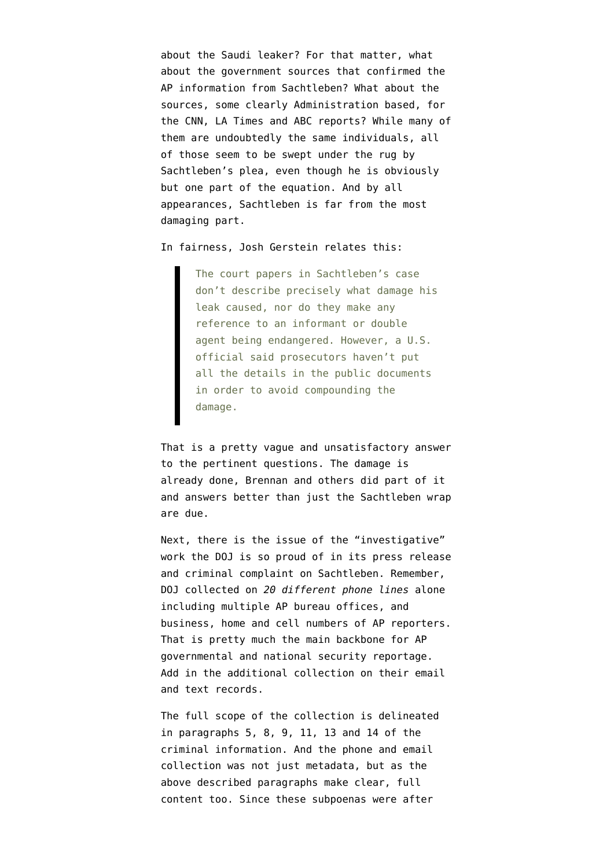about the Saudi leaker? For that matter, what about the government sources that confirmed the AP information from Sachtleben? What about the sources, some clearly Administration based, for the CNN, LA Times and ABC reports? While many of them are undoubtedly the same individuals, all of those seem to be swept under the rug by Sachtleben's plea, even though he is obviously but one part of the equation. And by all appearances, Sachtleben is far from the most damaging part.

In fairness, [Josh Gerstein](http://www.politico.com/story/2013/09/ex-fbi-agent-pleads-guilty-associated-press-leak-case-97226.html) relates this:

The court papers in Sachtleben's case don't describe precisely what damage his leak caused, nor do they make any reference to an informant or double agent being endangered. However, a U.S. official said prosecutors haven't put all the details in the public documents in order to avoid compounding the damage.

That is a pretty vague and unsatisfactory answer to the pertinent questions. The damage is already done, Brennan and others did part of it and answers better than just the Sachtleben wrap are due.

Next, there is the issue of the "investigative" work the DOJ is so proud of in its press release and criminal complaint on Sachtleben. Remember, DOJ collected on *20 different phone lines* alone including multiple AP bureau offices, and business, home and cell numbers of AP reporters. That is pretty much the main backbone for AP governmental and national security reportage. Add in the additional collection on their email and text records.

The full scope of the collection is delineated in paragraphs 5, 8, 9, 11, 13 and 14 [of the](http://www.justice.gov/iso/opa/resources/7642013923154527618802.pdf) [criminal information](http://www.justice.gov/iso/opa/resources/7642013923154527618802.pdf). And the phone and email collection was not just metadata, but as the above described paragraphs make clear, full content too. Since these subpoenas were after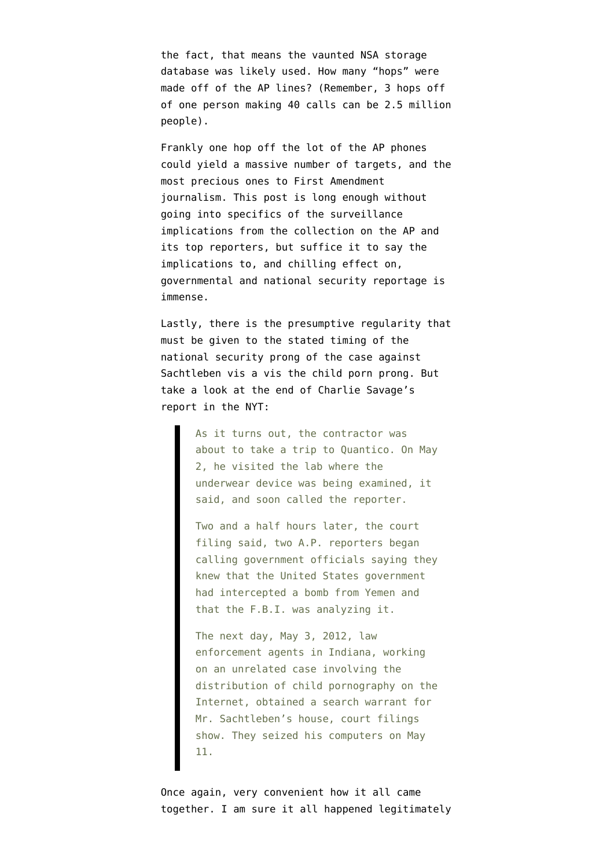the fact, that means the vaunted NSA storage database was likely used. How many "hops" were made off of the AP lines? (Remember, [3 hops off](http://www.emptywheel.net/2013/07/17/the-3-hop-scotch-of-civil-liberties-and-privacy/) [of one person making 40 calls can be 2.5 million](http://www.emptywheel.net/2013/07/17/the-3-hop-scotch-of-civil-liberties-and-privacy/) [people](http://www.emptywheel.net/2013/07/17/the-3-hop-scotch-of-civil-liberties-and-privacy/)).

Frankly one hop off the lot of the AP phones could yield a massive number of targets, and the most precious ones to First Amendment journalism. This post is long enough without going into specifics of the surveillance implications from the collection on the AP and its top reporters, but suffice it to say the implications to, and chilling effect on, governmental and national security reportage is immense.

Lastly, there is the presumptive regularity that must be given to the stated timing of the [national security prong](http://www.justice.gov/iso/opa/resources/7642013923154527618802.pdf) of the case against Sachtleben vis a vis the [child porn prong.](http://www.justice.gov/iso/opa/resources/930201392315477122777.pdf) But take a look at the end of Charlie Savage's [report in the NYT:](http://www.nytimes.com/2013/09/24/us/fbi-ex-agent-pleads-guilty-in-leak-to-ap.html)

> As it turns out, the contractor was about to take a trip to Quantico. On May 2, he visited the lab where the underwear device was being examined, it said, and soon called the reporter.

> Two and a half hours later, the court filing said, two A.P. reporters began calling government officials saying they knew that the United States government had intercepted a bomb from Yemen and that the F.B.I. was analyzing it.

> The next day, May 3, 2012, law enforcement agents in Indiana, working on an unrelated case involving the distribution of child pornography on the Internet, obtained a search warrant for Mr. Sachtleben's house, court filings show. They seized his computers on May 11.

Once again, very convenient how it all came together. I am sure it all happened legitimately